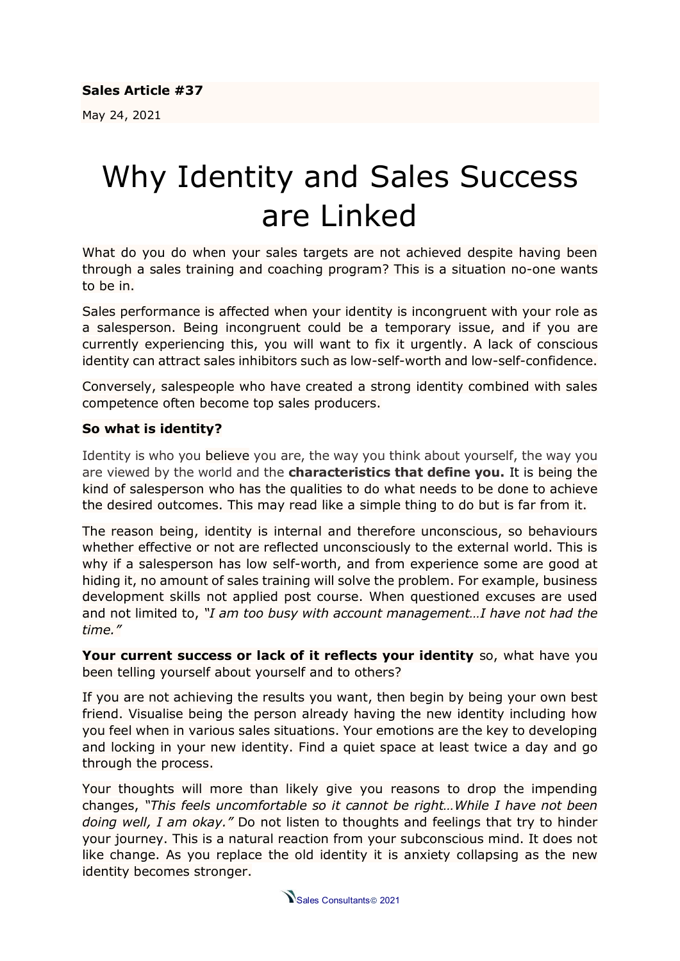May 24, 2021

## Why Identity and Sales Success are Linked

What do you do when your sales targets are not achieved despite having been through a sales training and coaching program? This is a situation no-one wants to be in.

Sales performance is affected when your identity is incongruent with your role as a salesperson. Being incongruent could be a temporary issue, and if you are currently experiencing this, you will want to fix it urgently. A lack of conscious identity can attract sales inhibitors such as low-self-worth and low-self-confidence.

Conversely, salespeople who have created a strong identity combined with sales competence often become top sales producers.

## **So what is identity?**

Identity is who you believe you are, the way you think about yourself, the way you are viewed by the world and the **characteristics that define you.** It is being the kind of salesperson who has the qualities to do what needs to be done to achieve the desired outcomes. This may read like a simple thing to do but is far from it.

The reason being, identity is internal and therefore unconscious, so behaviours whether effective or not are reflected unconsciously to the external world. This is why if a salesperson has low self-worth, and from experience some are good at hiding it, no amount of sales training will solve the problem. For example, business development skills not applied post course. When questioned excuses are used and not limited to, *"I am too busy with account management…I have not had the time."*

**Your current success or lack of it reflects your identity** so, what have you been telling yourself about yourself and to others?

If you are not achieving the results you want, then begin by being your own best friend. Visualise being the person already having the new identity including how you feel when in various sales situations. Your emotions are the key to developing and locking in your new identity. Find a quiet space at least twice a day and go through the process.

Your thoughts will more than likely give you reasons to drop the impending changes, *"This feels uncomfortable so it cannot be right…While I have not been doing well, I am okay."* Do not listen to thoughts and feelings that try to hinder your journey. This is a natural reaction from your subconscious mind. It does not like change. As you replace the old identity it is anxiety collapsing as the new identity becomes stronger.